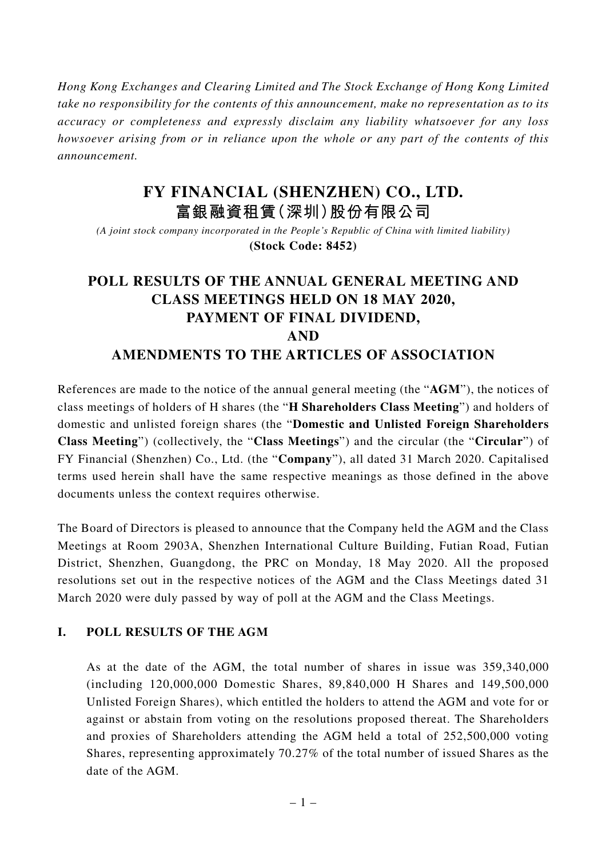*Hong Kong Exchanges and Clearing Limited and The Stock Exchange of Hong Kong Limited take no responsibility for the contents of this announcement, make no representation as to its accuracy or completeness and expressly disclaim any liability whatsoever for any loss howsoever arising from or in reliance upon the whole or any part of the contents of this announcement.*

## **FY FINANCIAL (SHENZHEN) CO., LTD. 富銀融資租賃(深圳)股份有限公司**

*(A joint stock company incorporated in the People's Republic of China with limited liability)* **(Stock Code: 8452)**

# **POLL RESULTS OF THE ANNUAL GENERAL MEETING AND CLASS MEETINGS HELD ON 18 MAY 2020, PAYMENT OF FINAL DIVIDEND, AND AMENDMENTS TO THE ARTICLES OF ASSOCIATION**

References are made to the notice of the annual general meeting (the "**AGM**"), the notices of class meetings of holders of H shares (the "**H Shareholders Class Meeting**") and holders of domestic and unlisted foreign shares (the "**Domestic and Unlisted Foreign Shareholders Class Meeting**") (collectively, the "**Class Meetings**") and the circular (the "**Circular**") of FY Financial (Shenzhen) Co., Ltd. (the "**Company**"), all dated 31 March 2020. Capitalised terms used herein shall have the same respective meanings as those defined in the above documents unless the context requires otherwise.

The Board of Directors is pleased to announce that the Company held the AGM and the Class Meetings at Room 2903A, Shenzhen International Culture Building, Futian Road, Futian District, Shenzhen, Guangdong, the PRC on Monday, 18 May 2020. All the proposed resolutions set out in the respective notices of the AGM and the Class Meetings dated 31 March 2020 were duly passed by way of poll at the AGM and the Class Meetings.

### **I. POLL RESULTS OF THE AGM**

As at the date of the AGM, the total number of shares in issue was 359,340,000 (including 120,000,000 Domestic Shares, 89,840,000 H Shares and 149,500,000 Unlisted Foreign Shares), which entitled the holders to attend the AGM and vote for or against or abstain from voting on the resolutions proposed thereat. The Shareholders and proxies of Shareholders attending the AGM held a total of 252,500,000 voting Shares, representing approximately 70.27% of the total number of issued Shares as the date of the AGM.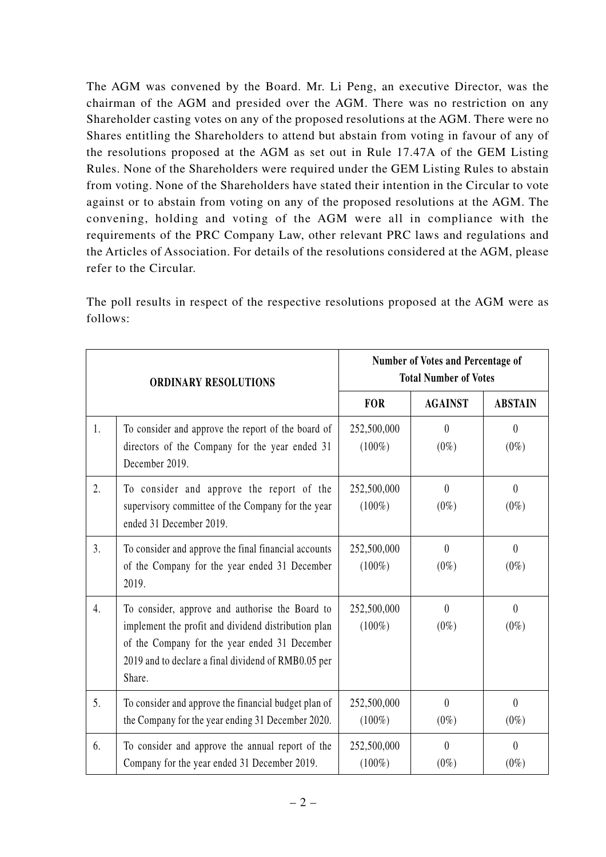The AGM was convened by the Board. Mr. Li Peng, an executive Director, was the chairman of the AGM and presided over the AGM. There was no restriction on any Shareholder casting votes on any of the proposed resolutions at the AGM. There were no Shares entitling the Shareholders to attend but abstain from voting in favour of any of the resolutions proposed at the AGM as set out in Rule 17.47A of the GEM Listing Rules. None of the Shareholders were required under the GEM Listing Rules to abstain from voting. None of the Shareholders have stated their intention in the Circular to vote against or to abstain from voting on any of the proposed resolutions at the AGM. The convening, holding and voting of the AGM were all in compliance with the requirements of the PRC Company Law, other relevant PRC laws and regulations and the Articles of Association. For details of the resolutions considered at the AGM, please refer to the Circular.

The poll results in respect of the respective resolutions proposed at the AGM were as follows:

| <b>ORDINARY RESOLUTIONS</b> |                                                                                                                                                                                                                          | Number of Votes and Percentage of<br><b>Total Number of Votes</b> |                     |                           |
|-----------------------------|--------------------------------------------------------------------------------------------------------------------------------------------------------------------------------------------------------------------------|-------------------------------------------------------------------|---------------------|---------------------------|
|                             |                                                                                                                                                                                                                          | <b>FOR</b>                                                        | <b>AGAINST</b>      | <b>ABSTAIN</b>            |
| 1.                          | To consider and approve the report of the board of<br>directors of the Company for the year ended 31<br>December 2019.                                                                                                   | 252,500,000<br>$(100\%)$                                          | $\theta$<br>$(0\%)$ | $\theta$<br>$(0\%)$       |
| 2.                          | To consider and approve the report of the<br>supervisory committee of the Company for the year<br>ended 31 December 2019.                                                                                                | 252,500,000<br>$(100\%)$                                          | $\theta$<br>$(0\%)$ | $\overline{0}$<br>$(0\%)$ |
| 3.                          | To consider and approve the final financial accounts<br>of the Company for the year ended 31 December<br>2019.                                                                                                           | 252,500,000<br>$(100\%)$                                          | $\theta$<br>$(0\%)$ | $\theta$<br>$(0\%)$       |
| 4.                          | To consider, approve and authorise the Board to<br>implement the profit and dividend distribution plan<br>of the Company for the year ended 31 December<br>2019 and to declare a final dividend of RMB0.05 per<br>Share. | 252,500,000<br>$(100\%)$                                          | $\theta$<br>$(0\%)$ | $\theta$<br>$(0\%)$       |
| 5.                          | To consider and approve the financial budget plan of<br>the Company for the year ending 31 December 2020.                                                                                                                | 252,500,000<br>$(100\%)$                                          | $\theta$<br>$(0\%)$ | $\overline{0}$<br>$(0\%)$ |
| 6.                          | To consider and approve the annual report of the<br>Company for the year ended 31 December 2019.                                                                                                                         | 252,500,000<br>$(100\%)$                                          | $\theta$<br>$(0\%)$ | $\theta$<br>$(0\%)$       |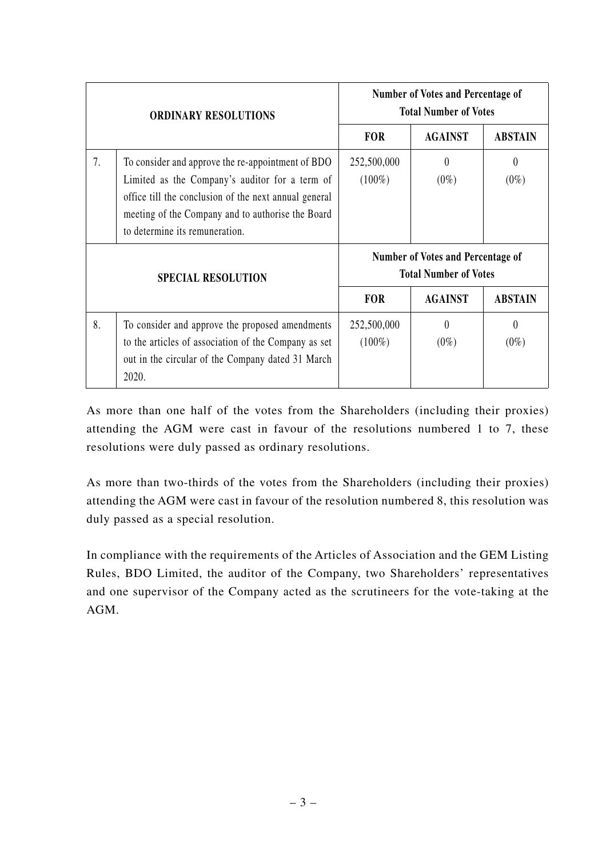| <b>ORDINARY RESOLUTIONS</b> |                                                                                                                                                                                                                                                     | Number of Votes and Percentage of<br><b>Total Number of Votes</b> |                     |                     |
|-----------------------------|-----------------------------------------------------------------------------------------------------------------------------------------------------------------------------------------------------------------------------------------------------|-------------------------------------------------------------------|---------------------|---------------------|
|                             |                                                                                                                                                                                                                                                     | <b>FOR</b>                                                        | <b>AGAINST</b>      | <b>ABSTAIN</b>      |
| 7.                          | To consider and approve the re-appointment of BDO<br>Limited as the Company's auditor for a term of<br>office till the conclusion of the next annual general<br>meeting of the Company and to authorise the Board<br>to determine its remuneration. | 252,500,000<br>$(100\%)$                                          | $\theta$<br>$(0\%)$ | $\theta$<br>$(0\%)$ |
| <b>SPECIAL RESOLUTION</b>   |                                                                                                                                                                                                                                                     | Number of Votes and Percentage of<br><b>Total Number of Votes</b> |                     |                     |
|                             |                                                                                                                                                                                                                                                     | <b>FOR</b>                                                        | <b>AGAINST</b>      | <b>ABSTAIN</b>      |
| 8.                          | To consider and approve the proposed amendments<br>to the articles of association of the Company as set<br>out in the circular of the Company dated 31 March<br>2020.                                                                               | 252,500,000<br>$(100\%)$                                          | $\theta$<br>$(0\%)$ | 0<br>$(0\%)$        |

As more than one half of the votes from the Shareholders (including their proxies) attending the AGM were cast in favour of the resolutions numbered 1 to 7, these resolutions were duly passed as ordinary resolutions.

As more than two-thirds of the votes from the Shareholders (including their proxies) attending the AGM were cast in favour of the resolution numbered 8, this resolution was duly passed as a special resolution.

In compliance with the requirements of the Articles of Association and the GEM Listing Rules, BDO Limited, the auditor of the Company, two Shareholders' representatives and one supervisor of the Company acted as the scrutineers for the vote-taking at the AGM.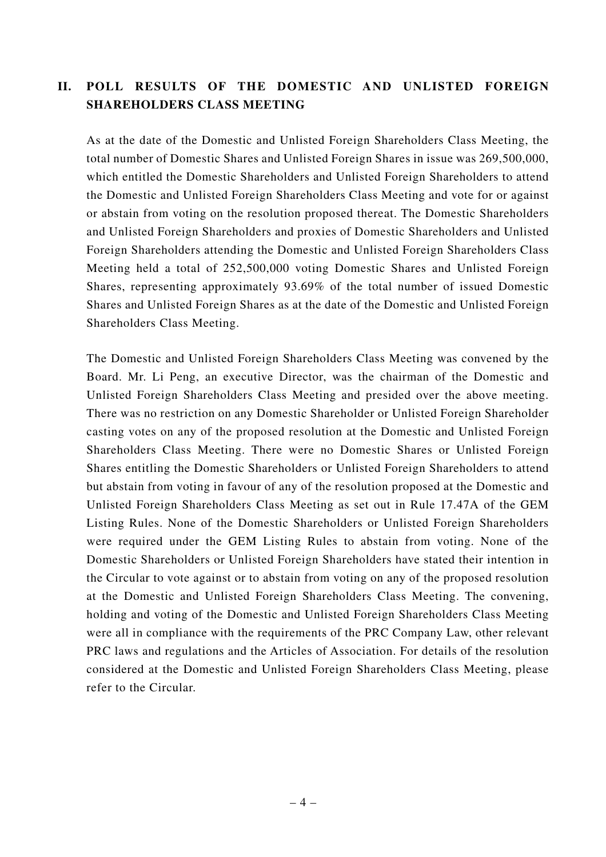## **II. POLL RESULTS OF THE DOMESTIC AND UNLISTED FOREIGN SHAREHOLDERS CLASS MEETING**

As at the date of the Domestic and Unlisted Foreign Shareholders Class Meeting, the total number of Domestic Shares and Unlisted Foreign Shares in issue was 269,500,000, which entitled the Domestic Shareholders and Unlisted Foreign Shareholders to attend the Domestic and Unlisted Foreign Shareholders Class Meeting and vote for or against or abstain from voting on the resolution proposed thereat. The Domestic Shareholders and Unlisted Foreign Shareholders and proxies of Domestic Shareholders and Unlisted Foreign Shareholders attending the Domestic and Unlisted Foreign Shareholders Class Meeting held a total of 252,500,000 voting Domestic Shares and Unlisted Foreign Shares, representing approximately 93.69% of the total number of issued Domestic Shares and Unlisted Foreign Shares as at the date of the Domestic and Unlisted Foreign Shareholders Class Meeting.

The Domestic and Unlisted Foreign Shareholders Class Meeting was convened by the Board. Mr. Li Peng, an executive Director, was the chairman of the Domestic and Unlisted Foreign Shareholders Class Meeting and presided over the above meeting. There was no restriction on any Domestic Shareholder or Unlisted Foreign Shareholder casting votes on any of the proposed resolution at the Domestic and Unlisted Foreign Shareholders Class Meeting. There were no Domestic Shares or Unlisted Foreign Shares entitling the Domestic Shareholders or Unlisted Foreign Shareholders to attend but abstain from voting in favour of any of the resolution proposed at the Domestic and Unlisted Foreign Shareholders Class Meeting as set out in Rule 17.47A of the GEM Listing Rules. None of the Domestic Shareholders or Unlisted Foreign Shareholders were required under the GEM Listing Rules to abstain from voting. None of the Domestic Shareholders or Unlisted Foreign Shareholders have stated their intention in the Circular to vote against or to abstain from voting on any of the proposed resolution at the Domestic and Unlisted Foreign Shareholders Class Meeting. The convening, holding and voting of the Domestic and Unlisted Foreign Shareholders Class Meeting were all in compliance with the requirements of the PRC Company Law, other relevant PRC laws and regulations and the Articles of Association. For details of the resolution considered at the Domestic and Unlisted Foreign Shareholders Class Meeting, please refer to the Circular.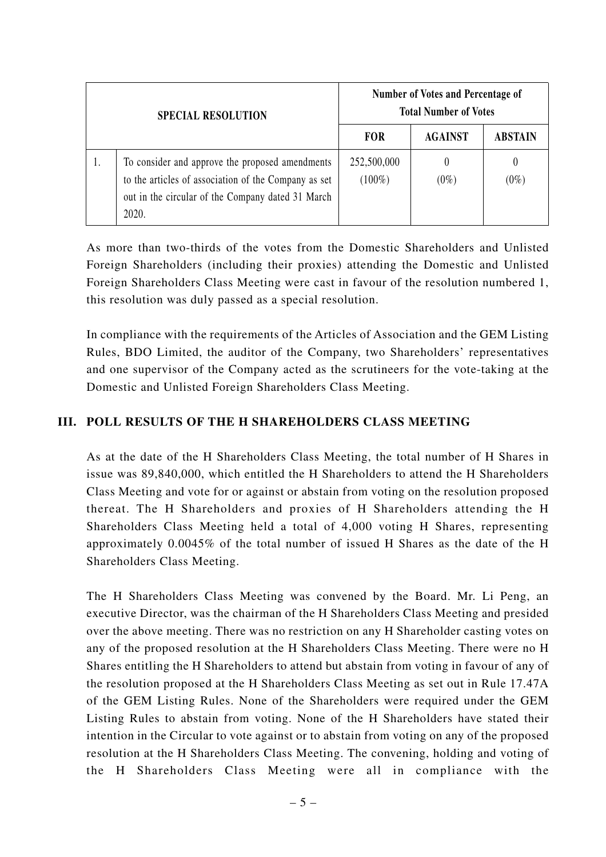| <b>SPECIAL RESOLUTION</b> |                                                                                                                                                                       | <b>Number of Votes and Percentage of</b><br><b>Total Number of Votes</b> |                     |                |
|---------------------------|-----------------------------------------------------------------------------------------------------------------------------------------------------------------------|--------------------------------------------------------------------------|---------------------|----------------|
|                           |                                                                                                                                                                       | <b>FOR</b>                                                               | <b>AGAINST</b>      | <b>ABSTAIN</b> |
|                           | To consider and approve the proposed amendments<br>to the articles of association of the Company as set<br>out in the circular of the Company dated 31 March<br>2020. | 252,500,000<br>$(100\%)$                                                 | $\theta$<br>$(0\%)$ | 0<br>$(0\%)$   |

As more than two-thirds of the votes from the Domestic Shareholders and Unlisted Foreign Shareholders (including their proxies) attending the Domestic and Unlisted Foreign Shareholders Class Meeting were cast in favour of the resolution numbered 1, this resolution was duly passed as a special resolution.

In compliance with the requirements of the Articles of Association and the GEM Listing Rules, BDO Limited, the auditor of the Company, two Shareholders' representatives and one supervisor of the Company acted as the scrutineers for the vote-taking at the Domestic and Unlisted Foreign Shareholders Class Meeting.

#### **III. POLL RESULTS OF THE H SHAREHOLDERS CLASS MEETING**

As at the date of the H Shareholders Class Meeting, the total number of H Shares in issue was 89,840,000, which entitled the H Shareholders to attend the H Shareholders Class Meeting and vote for or against or abstain from voting on the resolution proposed thereat. The H Shareholders and proxies of H Shareholders attending the H Shareholders Class Meeting held a total of 4,000 voting H Shares, representing approximately 0.0045% of the total number of issued H Shares as the date of the H Shareholders Class Meeting.

The H Shareholders Class Meeting was convened by the Board. Mr. Li Peng, an executive Director, was the chairman of the H Shareholders Class Meeting and presided over the above meeting. There was no restriction on any H Shareholder casting votes on any of the proposed resolution at the H Shareholders Class Meeting. There were no H Shares entitling the H Shareholders to attend but abstain from voting in favour of any of the resolution proposed at the H Shareholders Class Meeting as set out in Rule 17.47A of the GEM Listing Rules. None of the Shareholders were required under the GEM Listing Rules to abstain from voting. None of the H Shareholders have stated their intention in the Circular to vote against or to abstain from voting on any of the proposed resolution at the H Shareholders Class Meeting. The convening, holding and voting of the H Shareholders Class Meeting were all in compliance with the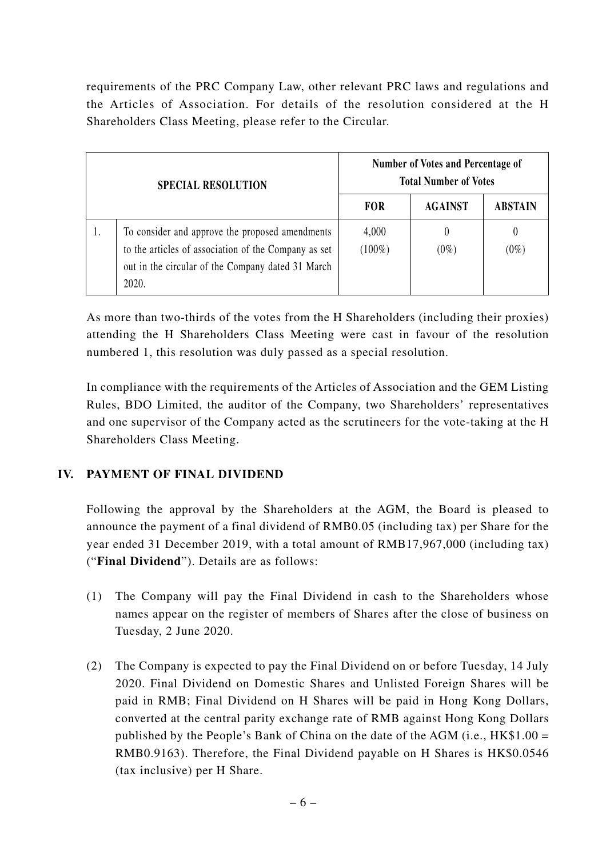requirements of the PRC Company Law, other relevant PRC laws and regulations and the Articles of Association. For details of the resolution considered at the H Shareholders Class Meeting, please refer to the Circular.

| <b>SPECIAL RESOLUTION</b> |                                                                                                                                                                       | Number of Votes and Percentage of<br><b>Total Number of Votes</b> |                     |                |
|---------------------------|-----------------------------------------------------------------------------------------------------------------------------------------------------------------------|-------------------------------------------------------------------|---------------------|----------------|
|                           |                                                                                                                                                                       | <b>FOR</b>                                                        | <b>AGAINST</b>      | <b>ABSTAIN</b> |
|                           | To consider and approve the proposed amendments<br>to the articles of association of the Company as set<br>out in the circular of the Company dated 31 March<br>2020. | 4,000<br>$(100\%)$                                                | $\theta$<br>$(0\%)$ | $(0\%)$        |

As more than two-thirds of the votes from the H Shareholders (including their proxies) attending the H Shareholders Class Meeting were cast in favour of the resolution numbered 1, this resolution was duly passed as a special resolution.

In compliance with the requirements of the Articles of Association and the GEM Listing Rules, BDO Limited, the auditor of the Company, two Shareholders' representatives and one supervisor of the Company acted as the scrutineers for the vote-taking at the H Shareholders Class Meeting.

### **IV. PAYMENT OF FINAL DIVIDEND**

Following the approval by the Shareholders at the AGM, the Board is pleased to announce the payment of a final dividend of RMB0.05 (including tax) per Share for the year ended 31 December 2019, with a total amount of RMB17,967,000 (including tax) ("**Final Dividend**"). Details are as follows:

- (1) The Company will pay the Final Dividend in cash to the Shareholders whose names appear on the register of members of Shares after the close of business on Tuesday, 2 June 2020.
- (2) The Company is expected to pay the Final Dividend on or before Tuesday, 14 July 2020. Final Dividend on Domestic Shares and Unlisted Foreign Shares will be paid in RMB; Final Dividend on H Shares will be paid in Hong Kong Dollars, converted at the central parity exchange rate of RMB against Hong Kong Dollars published by the People's Bank of China on the date of the AGM (i.e., HK\$1.00 = RMB0.9163). Therefore, the Final Dividend payable on H Shares is HK\$0.0546 (tax inclusive) per H Share.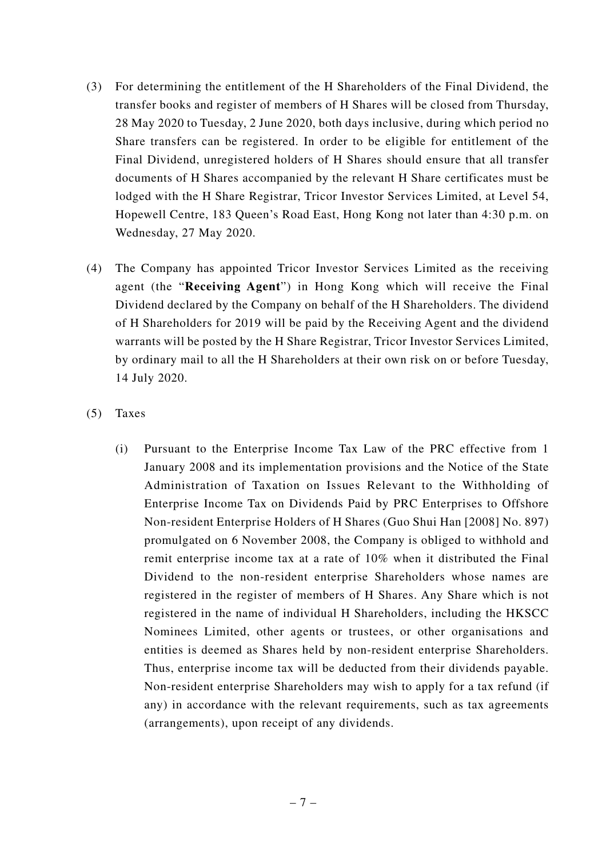- (3) For determining the entitlement of the H Shareholders of the Final Dividend, the transfer books and register of members of H Shares will be closed from Thursday, 28 May 2020 to Tuesday, 2 June 2020, both days inclusive, during which period no Share transfers can be registered. In order to be eligible for entitlement of the Final Dividend, unregistered holders of H Shares should ensure that all transfer documents of H Shares accompanied by the relevant H Share certificates must be lodged with the H Share Registrar, Tricor Investor Services Limited, at Level 54, Hopewell Centre, 183 Queen's Road East, Hong Kong not later than 4:30 p.m. on Wednesday, 27 May 2020.
- (4) The Company has appointed Tricor Investor Services Limited as the receiving agent (the "**Receiving Agent**") in Hong Kong which will receive the Final Dividend declared by the Company on behalf of the H Shareholders. The dividend of H Shareholders for 2019 will be paid by the Receiving Agent and the dividend warrants will be posted by the H Share Registrar, Tricor Investor Services Limited, by ordinary mail to all the H Shareholders at their own risk on or before Tuesday, 14 July 2020.
- (5) Taxes
	- (i) Pursuant to the Enterprise Income Tax Law of the PRC effective from 1 January 2008 and its implementation provisions and the Notice of the State Administration of Taxation on Issues Relevant to the Withholding of Enterprise Income Tax on Dividends Paid by PRC Enterprises to Offshore Non-resident Enterprise Holders of H Shares (Guo Shui Han [2008] No. 897) promulgated on 6 November 2008, the Company is obliged to withhold and remit enterprise income tax at a rate of 10% when it distributed the Final Dividend to the non-resident enterprise Shareholders whose names are registered in the register of members of H Shares. Any Share which is not registered in the name of individual H Shareholders, including the HKSCC Nominees Limited, other agents or trustees, or other organisations and entities is deemed as Shares held by non-resident enterprise Shareholders. Thus, enterprise income tax will be deducted from their dividends payable. Non-resident enterprise Shareholders may wish to apply for a tax refund (if any) in accordance with the relevant requirements, such as tax agreements (arrangements), upon receipt of any dividends.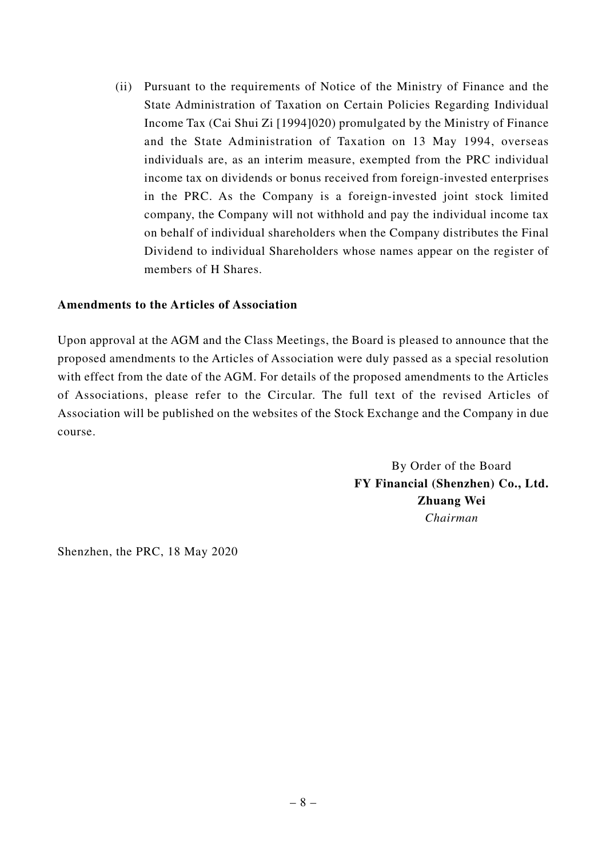(ii) Pursuant to the requirements of Notice of the Ministry of Finance and the State Administration of Taxation on Certain Policies Regarding Individual Income Tax (Cai Shui Zi [1994]020) promulgated by the Ministry of Finance and the State Administration of Taxation on 13 May 1994, overseas individuals are, as an interim measure, exempted from the PRC individual income tax on dividends or bonus received from foreign-invested enterprises in the PRC. As the Company is a foreign-invested joint stock limited company, the Company will not withhold and pay the individual income tax on behalf of individual shareholders when the Company distributes the Final Dividend to individual Shareholders whose names appear on the register of members of H Shares.

#### **Amendments to the Articles of Association**

Upon approval at the AGM and the Class Meetings, the Board is pleased to announce that the proposed amendments to the Articles of Association were duly passed as a special resolution with effect from the date of the AGM. For details of the proposed amendments to the Articles of Associations, please refer to the Circular. The full text of the revised Articles of Association will be published on the websites of the Stock Exchange and the Company in due course.

> By Order of the Board **FY Financial (Shenzhen) Co., Ltd. Zhuang Wei** *Chairman*

Shenzhen, the PRC, 18 May 2020